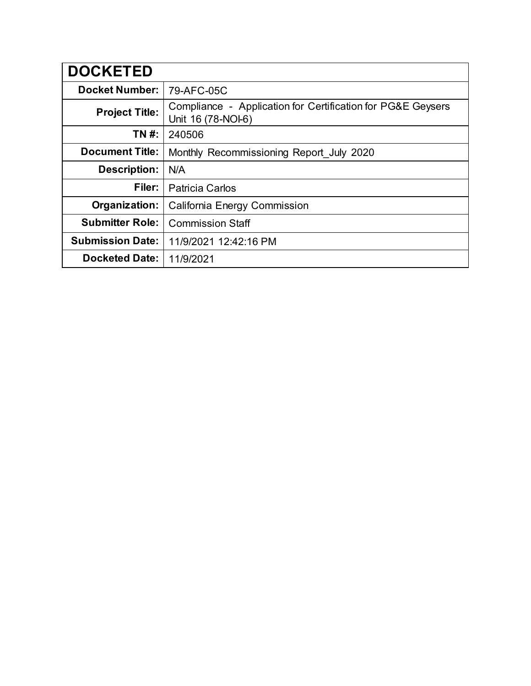| <b>DOCKETED</b>         |                                                                                   |
|-------------------------|-----------------------------------------------------------------------------------|
| <b>Docket Number:</b>   | 79-AFC-05C                                                                        |
| <b>Project Title:</b>   | Compliance - Application for Certification for PG&E Geysers<br>Unit 16 (78-NOI-6) |
| TN #:                   | 240506                                                                            |
| <b>Document Title:</b>  | Monthly Recommissioning Report_July 2020                                          |
| <b>Description:</b>     | N/A                                                                               |
| Filer:                  | <b>Patricia Carlos</b>                                                            |
| Organization:           | <b>California Energy Commission</b>                                               |
| <b>Submitter Role:</b>  | <b>Commission Staff</b>                                                           |
| <b>Submission Date:</b> | 11/9/2021 12:42:16 PM                                                             |
| <b>Docketed Date:</b>   | 11/9/2021                                                                         |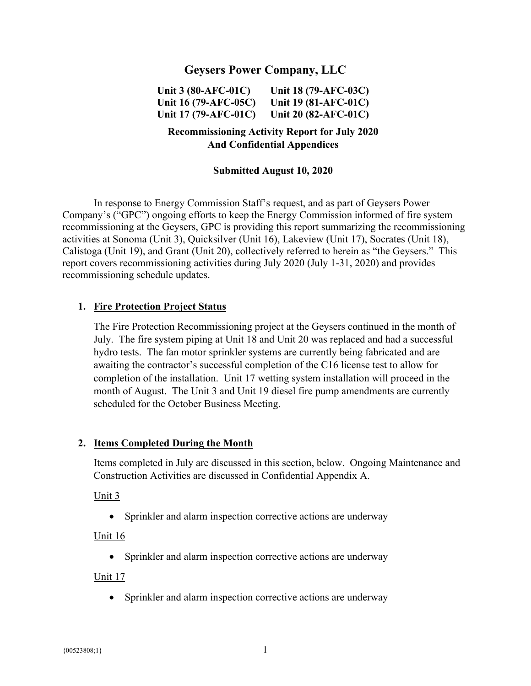## **Geysers Power Company, LLC**

**Unit 3 (80-AFC-01C) Unit 16 (79-AFC-05C) Unit 17 (79-AFC-01C) Unit 18 (79-AFC-03C) Unit 19 (81-AFC-01C) Unit 20 (82-AFC-01C)** 

### **Recommissioning Activity Report for July 2020 And Confidential Appendices**

#### **Submitted August 10, 2020**

In response to Energy Commission Staff's request, and as part of Geysers Power Company's ("GPC") ongoing efforts to keep the Energy Commission informed of fire system recommissioning at the Geysers, GPC is providing this report summarizing the recommissioning activities at Sonoma (Unit 3), Quicksilver (Unit 16), Lakeview (Unit 17), Socrates (Unit 18), Calistoga (Unit 19), and Grant (Unit 20), collectively referred to herein as "the Geysers." This report covers recommissioning activities during July 2020 (July 1-31, 2020) and provides recommissioning schedule updates.

#### **1. Fire Protection Project Status**

The Fire Protection Recommissioning project at the Geysers continued in the month of July. The fire system piping at Unit 18 and Unit 20 was replaced and had a successful hydro tests. The fan motor sprinkler systems are currently being fabricated and are awaiting the contractor's successful completion of the C16 license test to allow for completion of the installation. Unit 17 wetting system installation will proceed in the month of August. The Unit 3 and Unit 19 diesel fire pump amendments are currently scheduled for the October Business Meeting.

#### **2. Items Completed During the Month**

Items completed in July are discussed in this section, below. Ongoing Maintenance and Construction Activities are discussed in Confidential Appendix A.

#### Unit 3

• Sprinkler and alarm inspection corrective actions are underway

#### Unit 16

• Sprinkler and alarm inspection corrective actions are underway

Unit 17

• Sprinkler and alarm inspection corrective actions are underway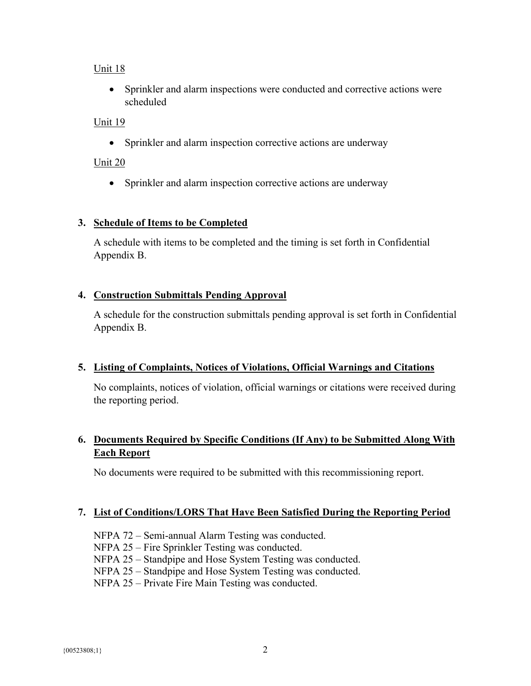### Unit 18

 Sprinkler and alarm inspections were conducted and corrective actions were scheduled

### Unit 19

Sprinkler and alarm inspection corrective actions are underway

### Unit 20

• Sprinkler and alarm inspection corrective actions are underway

### **3. Schedule of Items to be Completed**

A schedule with items to be completed and the timing is set forth in Confidential Appendix B.

### **4. Construction Submittals Pending Approval**

A schedule for the construction submittals pending approval is set forth in Confidential Appendix B.

### **5. Listing of Complaints, Notices of Violations, Official Warnings and Citations**

No complaints, notices of violation, official warnings or citations were received during the reporting period.

# **6. Documents Required by Specific Conditions (If Any) to be Submitted Along With Each Report**

No documents were required to be submitted with this recommissioning report.

### **7. List of Conditions/LORS That Have Been Satisfied During the Reporting Period**

- NFPA 72 Semi-annual Alarm Testing was conducted.
- NFPA 25 Fire Sprinkler Testing was conducted.

NFPA 25 – Standpipe and Hose System Testing was conducted.

NFPA 25 – Standpipe and Hose System Testing was conducted.

NFPA 25 – Private Fire Main Testing was conducted.